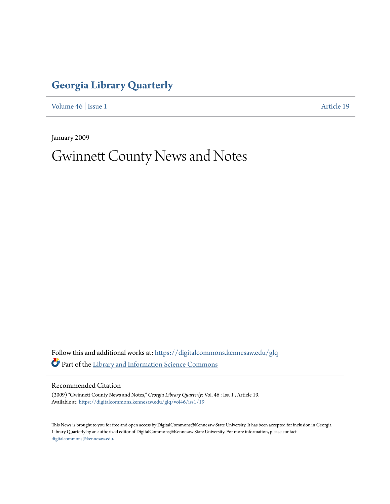## **[Georgia Library Quarterly](https://digitalcommons.kennesaw.edu/glq?utm_source=digitalcommons.kennesaw.edu%2Fglq%2Fvol46%2Fiss1%2F19&utm_medium=PDF&utm_campaign=PDFCoverPages)**

[Volume 46](https://digitalcommons.kennesaw.edu/glq/vol46?utm_source=digitalcommons.kennesaw.edu%2Fglq%2Fvol46%2Fiss1%2F19&utm_medium=PDF&utm_campaign=PDFCoverPages) | [Issue 1](https://digitalcommons.kennesaw.edu/glq/vol46/iss1?utm_source=digitalcommons.kennesaw.edu%2Fglq%2Fvol46%2Fiss1%2F19&utm_medium=PDF&utm_campaign=PDFCoverPages) [Article 19](https://digitalcommons.kennesaw.edu/glq/vol46/iss1/19?utm_source=digitalcommons.kennesaw.edu%2Fglq%2Fvol46%2Fiss1%2F19&utm_medium=PDF&utm_campaign=PDFCoverPages)

January 2009

# Gwinnett County News and Notes

Follow this and additional works at: [https://digitalcommons.kennesaw.edu/glq](https://digitalcommons.kennesaw.edu/glq?utm_source=digitalcommons.kennesaw.edu%2Fglq%2Fvol46%2Fiss1%2F19&utm_medium=PDF&utm_campaign=PDFCoverPages) Part of the [Library and Information Science Commons](http://network.bepress.com/hgg/discipline/1018?utm_source=digitalcommons.kennesaw.edu%2Fglq%2Fvol46%2Fiss1%2F19&utm_medium=PDF&utm_campaign=PDFCoverPages)

Recommended Citation

(2009) "Gwinnett County News and Notes," *Georgia Library Quarterly*: Vol. 46 : Iss. 1 , Article 19. Available at: [https://digitalcommons.kennesaw.edu/glq/vol46/iss1/19](https://digitalcommons.kennesaw.edu/glq/vol46/iss1/19?utm_source=digitalcommons.kennesaw.edu%2Fglq%2Fvol46%2Fiss1%2F19&utm_medium=PDF&utm_campaign=PDFCoverPages)

This News is brought to you for free and open access by DigitalCommons@Kennesaw State University. It has been accepted for inclusion in Georgia Library Quarterly by an authorized editor of DigitalCommons@Kennesaw State University. For more information, please contact [digitalcommons@kennesaw.edu.](mailto:digitalcommons@kennesaw.edu)